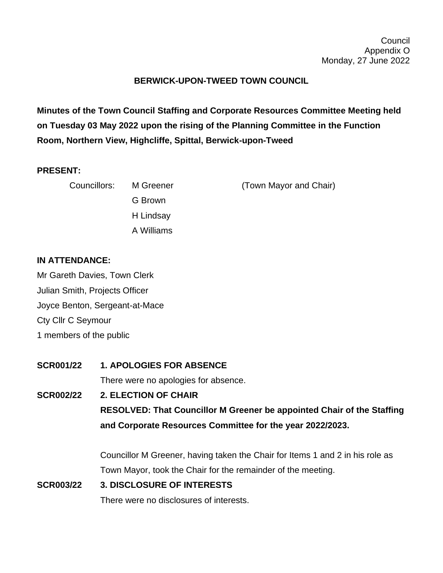### **BERWICK-UPON-TWEED TOWN COUNCIL**

**Minutes of the Town Council Staffing and Corporate Resources Committee Meeting held on Tuesday 03 May 2022 upon the rising of the Planning Committee in the Function Room, Northern View, Highcliffe, Spittal, Berwick-upon-Tweed**

#### **PRESENT:**

| Councillors: M Greener |            | (Town Mayor and Chair) |
|------------------------|------------|------------------------|
|                        | G Brown    |                        |
|                        | H Lindsay  |                        |
|                        | A Williams |                        |

#### **IN ATTENDANCE:**

Mr Gareth Davies, Town Clerk Julian Smith, Projects Officer Joyce Benton, Sergeant-at-Mace Cty Cllr C Seymour 1 members of the public

**SCR001/22 1. APOLOGIES FOR ABSENCE** There were no apologies for absence. **SCR002/22 2. ELECTION OF CHAIR RESOLVED: That Councillor M Greener be appointed Chair of the Staffing and Corporate Resources Committee for the year 2022/2023.** Councillor M Greener, having taken the Chair for Items 1 and 2 in his role as

Town Mayor, took the Chair for the remainder of the meeting.

## **SCR003/22 3. DISCLOSURE OF INTERESTS** There were no disclosures of interests.